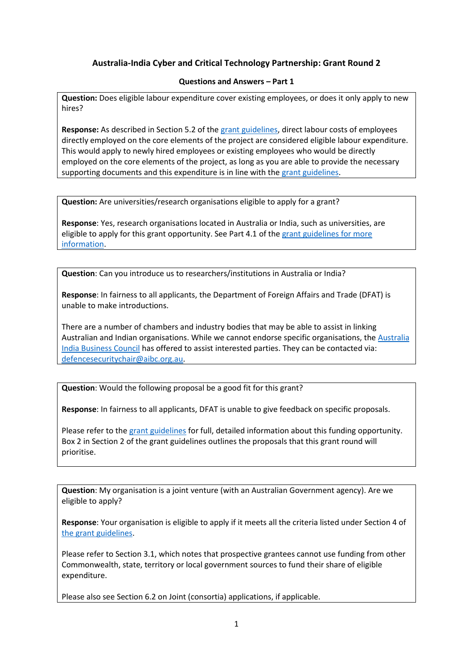## **Australia-India Cyber and Critical Technology Partnership: Grant Round 2**

## **Questions and Answers – Part 1**

**Question:** Does eligible labour expenditure cover existing employees, or does it only apply to new hires?

**Response:** As described in Section 5.2 of the [grant guidelines,](https://india.highcommission.gov.au/files/ndli/australia-india-cyber-and-critical-technology-partnership-aicctp-grants-guidelines-round-2.pdf) direct labour costs of employees directly employed on the core elements of the project are considered eligible labour expenditure. This would apply to newly hired employees or existing employees who would be directly employed on the core elements of the project, as long as you are able to provide the necessary supporting documents and this expenditure is in line with th[e grant guidelines.](https://india.highcommission.gov.au/files/ndli/australia-india-cyber-and-critical-technology-partnership-aicctp-grants-guidelines-round-2.pdf)

**Question:** Are universities/research organisations eligible to apply for a grant?

**Response**: Yes, research organisations located in Australia or India, such as universities, are eligible to apply for this grant opportunity. See Part 4.1 of the [grant guidelines](https://india.highcommission.gov.au/files/ndli/australia-india-cyber-and-critical-technology-partnership-aicctp-grants-guidelines-round-2.pdf) for more information.

**Question**: Can you introduce us to researchers/institutions in Australia or India?

**Response**: In fairness to all applicants, the Department of Foreign Affairs and Trade (DFAT) is unable to make introductions.

There are a number of chambers and industry bodies that may be able to assist in linking Australian and Indian organisations. While we cannot endorse specific organisations, the Australia [India Business Council](https://aibc.org.au/) has offered to assist interested parties. They can be contacted via: [defencesecuritychair@aibc.org.au.](mailto:defencesecuritychair@aibc.org.au)

**Question**: Would the following proposal be a good fit for this grant?

**Response**: In fairness to all applicants, DFAT is unable to give feedback on specific proposals.

Please refer to th[e grant guidelines](https://india.highcommission.gov.au/files/ndli/australia-india-cyber-and-critical-technology-partnership-aicctp-grants-guidelines-round-2.pdf) for full, detailed information about this funding opportunity. Box 2 in Section 2 of the grant guidelines outlines the proposals that this grant round will prioritise.

**Question**: My organisation is a joint venture (with an Australian Government agency). Are we eligible to apply?

**Response**: Your organisation is eligible to apply if it meets all the criteria listed under Section 4 of [the grant guidelines.](https://india.highcommission.gov.au/files/ndli/australia-india-cyber-and-critical-technology-partnership-aicctp-grants-guidelines-round-2.pdf)

Please refer to Section 3.1, which notes that prospective grantees cannot use funding from other Commonwealth, state, territory or local government sources to fund their share of eligible expenditure.

Please also see Section 6.2 on Joint (consortia) applications, if applicable.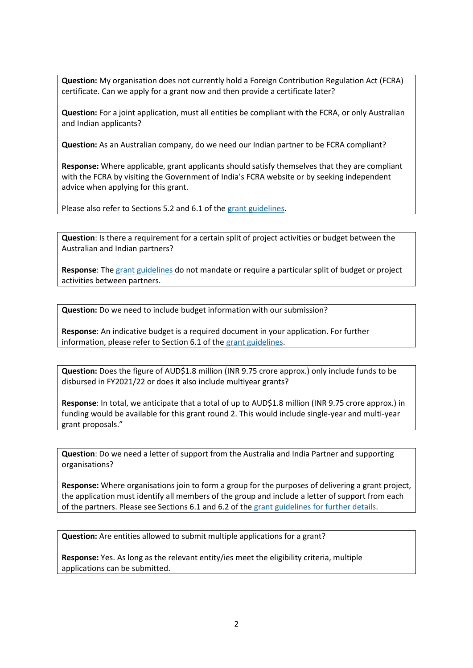**Question:** My organisation does not currently hold a Foreign Contribution Regulation Act (FCRA) certificate. Can we apply for a grant now and then provide a certificate later?

**Question:** For a joint application, must all entities be compliant with the FCRA, or only Australian and Indian applicants?

**Question:** As an Australian company, do we need our Indian partner to be FCRA compliant?

**Response:** Where applicable, grant applicants should satisfy themselves that they are compliant with the FCRA by visiting the Government of India's FCRA website or by seeking independent advice when applying for this grant.

Please also refer to Sections 5.2 and 6.1 of th[e grant guidelines.](https://india.highcommission.gov.au/files/ndli/australia-india-cyber-and-critical-technology-partnership-aicctp-grants-guidelines-round-2.pdf)

**Question**: Is there a requirement for a certain split of project activities or budget between the Australian and Indian partners?

**Response**: The [grant guidelines](https://india.highcommission.gov.au/files/ndli/australia-india-cyber-and-critical-technology-partnership-aicctp-grants-guidelines-round-2.pdf) do not mandate or require a particular split of budget or project activities between partners.

**Question:** Do we need to include budget information with our submission?

**Response**: An indicative budget is a required document in your application. For further information, please refer to Section 6.1 of th[e grant guidelines.](https://india.highcommission.gov.au/files/ndli/australia-india-cyber-and-critical-technology-partnership-aicctp-grants-guidelines-round-2.pdf)

**Question:** Does the figure of AUD\$1.8 million (INR 9.75 crore approx.) only include funds to be disbursed in FY2021/22 or does it also include multiyear grants?

**Response**: In total, we anticipate that a total of up to AUD\$1.8 million (INR 9.75 crore approx.) in funding would be available for this grant round 2. This would include single-year and multi-year grant proposals."

**Question**: Do we need a letter of support from the Australia and India Partner and supporting organisations?

**Response:** Where organisations join to form a group for the purposes of delivering a grant project, the application must identify all members of the group and include a letter of support from each of the partners. Please see Sections 6.1 and 6.2 of the [grant guidelines](https://india.highcommission.gov.au/files/ndli/australia-india-cyber-and-critical-technology-partnership-aicctp-grants-guidelines-round-2.pdf) for further details.

**Question:** Are entities allowed to submit multiple applications for a grant?

**Response:** Yes. As long as the relevant entity/ies meet the eligibility criteria, multiple applications can be submitted.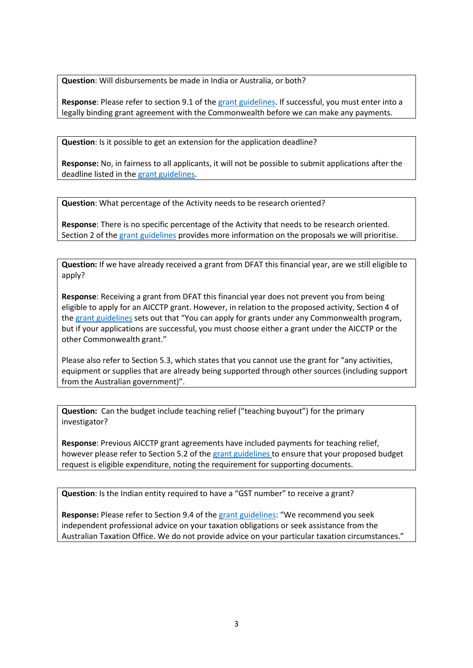**Question**: Will disbursements be made in India or Australia, or both?

**Response**: Please refer to section 9.1 of th[e grant guidelines.](https://india.highcommission.gov.au/files/ndli/australia-india-cyber-and-critical-technology-partnership-aicctp-grants-guidelines-round-2.pdf) If successful, you must enter into a legally binding grant agreement with the Commonwealth before we can make any payments.

**Question**: Is it possible to get an extension for the application deadline?

**Response:** No, in fairness to all applicants, it will not be possible to submit applications after the deadline listed in th[e grant guidelines.](https://india.highcommission.gov.au/files/ndli/australia-india-cyber-and-critical-technology-partnership-aicctp-grants-guidelines-round-2.pdf)

**Question**: What percentage of the Activity needs to be research oriented?

**Response**: There is no specific percentage of the Activity that needs to be research oriented. Section 2 of the [grant guidelines](https://india.highcommission.gov.au/files/ndli/australia-india-cyber-and-critical-technology-partnership-aicctp-grants-guidelines-round-2.pdf) provides more information on the proposals we will prioritise.

**Question:** If we have already received a grant from DFAT this financial year, are we still eligible to apply?

**Response**: Receiving a grant from DFAT this financial year does not prevent you from being eligible to apply for an AICCTP grant. However, in relation to the proposed activity, Section 4 of the [grant guidelines](https://india.highcommission.gov.au/files/ndli/australia-india-cyber-and-critical-technology-partnership-aicctp-grants-guidelines-round-2.pdf) sets out that "You can apply for grants under any Commonwealth program, but if your applications are successful, you must choose either a grant under the AICCTP or the other Commonwealth grant."

Please also refer to Section 5.3, which states that you cannot use the grant for "any activities, equipment or supplies that are already being supported through other sources (including support from the Australian government)".

**Question:** Can the budget include teaching relief ("teaching buyout") for the primary investigator?

**Response**: Previous AICCTP grant agreements have included payments for teaching relief, however please refer to Section 5.2 of the [grant guidelines](https://india.highcommission.gov.au/files/ndli/australia-india-cyber-and-critical-technology-partnership-aicctp-grants-guidelines-round-2.pdf) to ensure that your proposed budget request is eligible expenditure, noting the requirement for supporting documents.

**Question**: Is the Indian entity required to have a "GST number" to receive a grant?

**Response:** Please refer to Section 9.4 of th[e grant guidelines](https://india.highcommission.gov.au/files/ndli/australia-india-cyber-and-critical-technology-partnership-aicctp-grants-guidelines-round-2.pdf): "We recommend you seek independent professional advice on your taxation obligations or seek assistance from the Australian Taxation Office. We do not provide advice on your particular taxation circumstances."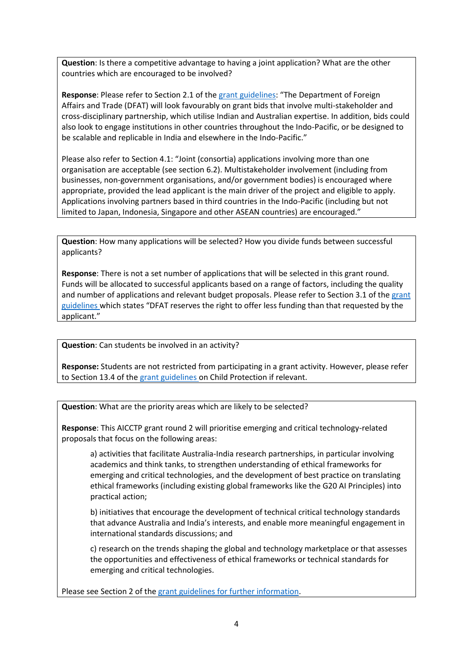**Question**: Is there a competitive advantage to having a joint application? What are the other countries which are encouraged to be involved?

**Response**: Please refer to Section 2.1 of th[e grant guidelines](https://india.highcommission.gov.au/files/ndli/australia-india-cyber-and-critical-technology-partnership-aicctp-grants-guidelines-round-2.pdf): "The Department of Foreign Affairs and Trade (DFAT) will look favourably on grant bids that involve multi-stakeholder and cross-disciplinary partnership, which utilise Indian and Australian expertise. In addition, bids could also look to engage institutions in other countries throughout the Indo-Pacific, or be designed to be scalable and replicable in India and elsewhere in the Indo-Pacific."

Please also refer to Section 4.1: "Joint (consortia) applications involving more than one organisation are acceptable (see section 6.2). Multistakeholder involvement (including from businesses, non-government organisations, and/or government bodies) is encouraged where appropriate, provided the lead applicant is the main driver of the project and eligible to apply. Applications involving partners based in third countries in the Indo-Pacific (including but not limited to Japan, Indonesia, Singapore and other ASEAN countries) are encouraged."

**Question**: How many applications will be selected? How you divide funds between successful applicants?

**Response**: There is not a set number of applications that will be selected in this grant round. Funds will be allocated to successful applicants based on a range of factors, including the quality and number of applications and relevant budget proposals. Please refer to Section 3.1 of the [grant](https://india.highcommission.gov.au/files/ndli/australia-india-cyber-and-critical-technology-partnership-aicctp-grants-guidelines-round-2.pdf)  [guidelines](https://india.highcommission.gov.au/files/ndli/australia-india-cyber-and-critical-technology-partnership-aicctp-grants-guidelines-round-2.pdf) which states "DFAT reserves the right to offer less funding than that requested by the applicant."

**Question**: Can students be involved in an activity?

**Response:** Students are not restricted from participating in a grant activity. However, please refer to Section 13.4 of the [grant guidelines](https://india.highcommission.gov.au/files/ndli/australia-india-cyber-and-critical-technology-partnership-aicctp-grants-guidelines-round-2.pdf) on Child Protection if relevant.

**Question**: What are the priority areas which are likely to be selected?

**Response**: This AICCTP grant round 2 will prioritise emerging and critical technology-related proposals that focus on the following areas:

a) activities that facilitate Australia-India research partnerships, in particular involving academics and think tanks, to strengthen understanding of ethical frameworks for emerging and critical technologies, and the development of best practice on translating ethical frameworks (including existing global frameworks like the G20 AI Principles) into practical action;

b) initiatives that encourage the development of technical critical technology standards that advance Australia and India's interests, and enable more meaningful engagement in international standards discussions; and

c) research on the trends shaping the global and technology marketplace or that assesses the opportunities and effectiveness of ethical frameworks or technical standards for emerging and critical technologies.

Please see Section 2 of the [grant guidelines](https://india.highcommission.gov.au/files/ndli/australia-india-cyber-and-critical-technology-partnership-aicctp-grants-guidelines-round-2.pdf) for further information.